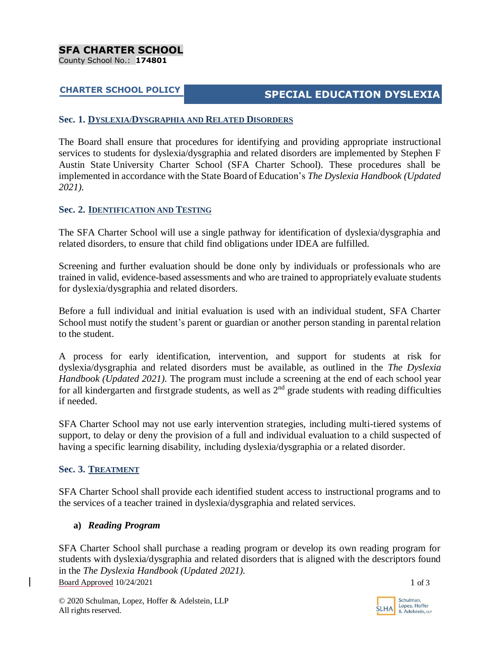# **CHARTER SCHOOL POLICY SPECIAL EDUCATION DYSLEXIA**

#### **Sec. 1. DYSLEXIA/DYSGRAPHIA AND RELATED DISORDERS**

The Board shall ensure that procedures for identifying and providing appropriate instructional services to students for dyslexia/dysgraphia and related disorders are implemented by Stephen F Austin State University Charter School (SFA Charter School). These procedures shall be implemented in accordance with the State Board of Education's *The Dyslexia Handbook (Updated 2021).*

## **Sec. 2. IDENTIFICATION AND TESTING**

The SFA Charter School will use a single pathway for identification of dyslexia/dysgraphia and related disorders, to ensure that child find obligations under IDEA are fulfilled.

Screening and further evaluation should be done only by individuals or professionals who are trained in valid, evidence-based assessments and who are trained to appropriately evaluate students for dyslexia/dysgraphia and related disorders.

Before a full individual and initial evaluation is used with an individual student, SFA Charter School must notify the student's parent or guardian or another person standing in parental relation to the student.

A process for early identification, intervention, and support for students at risk for dyslexia/dysgraphia and related disorders must be available, as outlined in the *The Dyslexia Handbook (Updated 2021).* The program must include a screening at the end of each school year for all kindergarten and firstgrade students, as well as  $2<sup>nd</sup>$  grade students with reading difficulties if needed.

SFA Charter School may not use early intervention strategies, including multi-tiered systems of support, to delay or deny the provision of a full and individual evaluation to a child suspected of having a specific learning disability, including dyslexia/dysgraphia or a related disorder.

## **Sec. 3. TREATMENT**

SFA Charter School shall provide each identified student access to instructional programs and to the services of a teacher trained in dyslexia/dysgraphia and related services.

## **a)** *Reading Program*

Board Approved  $10/24/2021$  1 of 3 SFA Charter School shall purchase a reading program or develop its own reading program for students with dyslexia/dysgraphia and related disorders that is aligned with the descriptors found in the *The Dyslexia Handbook (Updated 2021).*

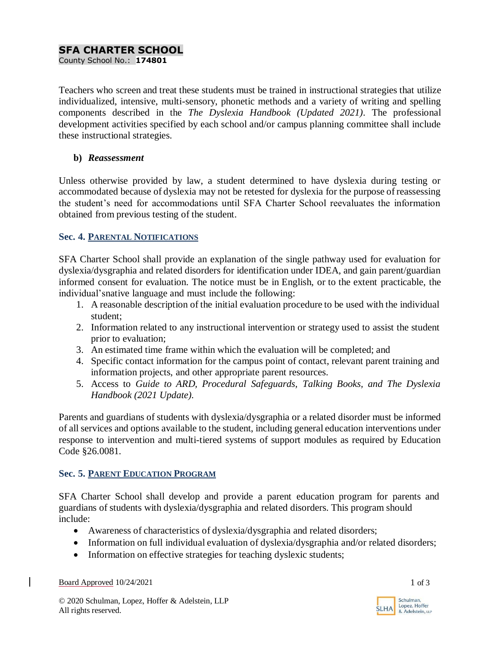## **SFA CHARTER SCHOOL**

County School No.: **174801**

Teachers who screen and treat these students must be trained in instructional strategies that utilize individualized, intensive, multi-sensory, phonetic methods and a variety of writing and spelling components described in the *The Dyslexia Handbook (Updated 2021)*. The professional development activities specified by each school and/or campus planning committee shall include these instructional strategies.

## **b)** *Reassessment*

Unless otherwise provided by law, a student determined to have dyslexia during testing or accommodated because of dyslexia may not be retested for dyslexia for the purpose of reassessing the student's need for accommodations until SFA Charter School reevaluates the information obtained from previous testing of the student.

## **Sec. 4. PARENTAL NOTIFICATIONS**

SFA Charter School shall provide an explanation of the single pathway used for evaluation for dyslexia/dysgraphia and related disorders for identification under IDEA, and gain parent/guardian informed consent for evaluation. The notice must be in English, or to the extent practicable, the individual'snative language and must include the following:

- 1. A reasonable description of the initial evaluation procedure to be used with the individual student;
- 2. Information related to any instructional intervention or strategy used to assist the student prior to evaluation;
- 3. An estimated time frame within which the evaluation will be completed; and
- 4. Specific contact information for the campus point of contact, relevant parent training and information projects, and other appropriate parent resources.
- 5. Access to *Guide to ARD, Procedural Safeguards, Talking Books, and The Dyslexia Handbook (2021 Update).*

Parents and guardians of students with dyslexia/dysgraphia or a related disorder must be informed of all services and options available to the student, including general education interventions under response to intervention and multi-tiered systems of support modules as required by Education Code §26.0081.

## **Sec. 5. PARENT EDUCATION PROGRAM**

SFA Charter School shall develop and provide a parent education program for parents and guardians of students with dyslexia/dysgraphia and related disorders. This program should include:

- Awareness of characteristics of dyslexia/dysgraphia and related disorders;
- Information on full individual evaluation of dyslexia/dysgraphia and/or related disorders;
- Information on effective strategies for teaching dyslexic students;